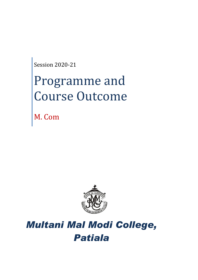Session 2020-21

# Programme and Course Outcome

M. Com



# *Multani Mal Modi College, Patiala*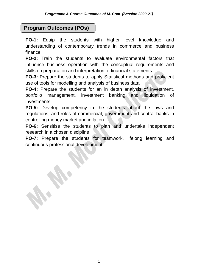# **Program Outcomes (POs)**

**PO-1:** Equip the students with higher level knowledge and understanding of contemporary trends in commerce and business finance

**PO-2:** Train the students to evaluate environmental factors that influence business operation with the conceptual requirements and skills on preparation and interpretation of financial statements

**PO-3:** Prepare the students to apply Statistical methods and proficient use of tools for modelling and analysis of business data

**PO-4:** Prepare the students for an in depth analysis of investment, portfolio management, investment banking and liquidation of investments

**PO-5:** Develop competency in the students about the laws and regulations, and roles of commercial, government and central banks in controlling money market and inflation

**PO-6:** Sensitise the students to plan and undertake independent research in a chosen discipline

**PO-7:** Prepare the students for teamwork, lifelong learning and continuous professional development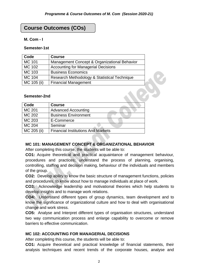# **Course Outcomes (COs)**

#### **M. Com - I**

#### **Semester-1st**

| Code          | <b>Course</b>                                |
|---------------|----------------------------------------------|
| MC 101        | Management Concept & Organizational Behavior |
| MC 102        | <b>Accounting for Managerial Decisions</b>   |
| MC 103        | <b>Business Economics</b>                    |
| <b>MC 104</b> | Research Methodology & Statistical Technique |
| MC 105 (ii)   | <b>Financial Management</b>                  |

#### **Semester-2nd**

| Code          | <b>Course</b>                             |
|---------------|-------------------------------------------|
| <b>MC 201</b> | <b>Advanced Accounting</b>                |
| MC 202        | <b>Business Environment</b>               |
| MC 203        | E-Commerce                                |
| MC 204        | Seminar                                   |
| MC 205 (ii)   | <b>Financial Institutions And Markets</b> |

#### **MC 101: MANAGEMENT CONCEPT & ORGANIZATIONAL BEHAVIOR**

After completing this course, the students will be able to:

**CO1:** Acquire theoretical and practical acquaintance of management behaviour, procedures and practices; understand the process of planning, organising, controlling, staffing and decision making, behaviour of the individuals and members of the group.

**CO2:** Develop ability to know the basic structure of management functions, policies and procedures, to know about how to manage individuals at place of work.

**CO3:** Acknowledge leadership and motivational theories which help students to develop insights and to manage work relations.

**CO4:** Understand different types of group dynamics, team development and to know the significance of organizational culture and how to deal with organisational change and work stress.

**CO5:** Analyse and Interpret different types of organisation structures, understand two way communication process and enlarge capability to overcome or remove barriers to effective communication.

# **MC 102: ACCOUNTING FOR MANAGERIAL DECISIONS**

After completing this course, the students will be able to:

**CO1:** Acquire theoretical and practical knowledge of financial statements, their analysis techniques and recent trends of the corporate houses, analyse and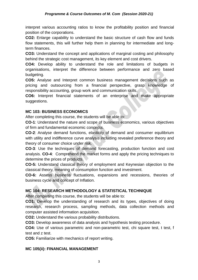interpret various accounting ratios to know the profitability position and financial position of the corporations.

**CO2:** Enlarge capability to understand the basic structure of cash flow and funds flow statements, this will further help them in planning for intermediate and longterm finances.

**CO3:** Understand the concept and applications of marginal costing and philosophy behind the strategic cost management, its key element and cost drivers.

**CO4:** Develop ability to understand the role and limitations of budgets in organisations, interpret the difference between performance and zero based budgeting.

**CO5:** Analyse and Interpret common business management decisions such as pricing and outsourcing from a financial perspective, grasp knowledge of responsibility accounting, group work and communication skills.

**CO6:** Interpret financial statements of an enterprise and make appropriate suggestions.

#### **MC 103: BUSINESS ECONOMICS**

After completing this course, the students will be able to:

**CO-1**: Understand the nature and scope of business economics, various objectives of firm and fundamental economic concepts.

**CO-2**: Analyse demand functions, elasticity of demand and consumer equilibrium with utility and indifference curve analysis including revealed preference theory and theory of consumer choice under risk.

**CO-3**: Use the techniques of demand forecasting, production function and cost analysis. **CO-4**: Comprehend the market forms and apply the pricing techniques to determine the prices of products.

**CO-5:** Understand classical theory of employment and Keynesian objection to the classical theory, meaning of consumption function and investment.

**CO-6:** Assess business fluctuations, expansions and recessions, theories of business cycle and concept of Inflation.

# **MC 104: RESEARCH METHODOLOGY & STATISTICAL TECHNIQUE**

After completing this course, the students will be able to:

**CO1:** Develop the understanding of research and its types, objectives of doing research, research process, sampling methods, data collection methods and computer assisted information acquisition.

**CO2:** Understand the various probability distributions.

**CO3:** Develop awareness of data analysis and hypothesis testing procedure.

**CO4:** Use of various parametric and non-parametric test, chi square test, t test, f test and z test.

**CO5:** Familiarize with mechanics of report writing.

# **MC 105(ii): FINANCIAL MANAGEMENT**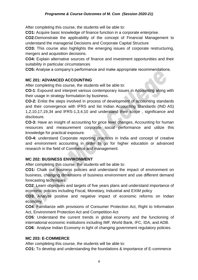After completing this course, the students will be able to:

**CO1:** Acquire basic knowledge of finance function in a corporate enterprise.

**CO2:**Demonstrate the applicability of the concept of Financial Management to understand the managerial Decisions and Corporate Capital Structure

**CO3:** This course also highlights the emerging issues of corporate restructuring, mergers and acquisition decisions.

**CO4:** Explain alternative sources of finance and investment opportunities and their suitability in particular circumstances

**CO5:** Analyse a company's performance and make appropriate recommendations.

#### **MC 201: ADVANCED ACCOUNTING**

After completing this course, the students will be able to:

**CO-1**: Expound and interpret various contemporary issues in Accounting along with their usage in strategy formulation by business.

**CO-2:** Enlist the steps involved in process of development of accounting standards and their convergence with IFRS and list Indian Accounting Standards (IND AS) 1,2,10,17,19,34 and IFRS-1,3,4,10 and understand their scope , significance and disclosure.

**CO-3:** Have an insight of accounting for price level changes, Accounting for human resources and measurement corporate social performance and utilize this knowledge for practical exposure.

**CO-4:** understand Corporate reporting practices in India and concept of creative and environment accounting in order to go for higher education or advanced research in the field of Commerce and management.

#### **MC 202: BUSINESS ENVIRONMENT**

After completing this course, the students will be able to:

**CO1:** Chalk out business policies and understand the impact of environment on business, changing dimensions of business environment and use different demand forecasting techniques.

**CO2**: Learn objectives and targets of five years plans and understand importance of economic policies including Fiscal, Monetary, Industrial and EXIM policy

**CO3**: Analyze positive and negative impact of economic reforms on Indian economy.

**CO4**: Familiarize with provisions of Consumer Protection Act, Right to Information Act, Environment Protection Act and Competition Act

**CO5**: Understand the current trends in global economy and the functioning of international economic institutions including IMF, World Bank, IFC, IDA, and ADB.

**CO6**: Analyse Indian Economy in light of changing government regulatory policies.

#### **MC 203: E-COMMERCE**

After completing this course, the students will be able to:

**CO1:** To develop and understanding the foundations & importance of E-commerce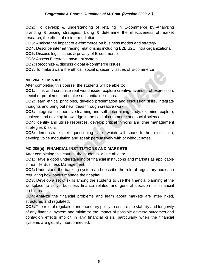**CO2:** To develop & understanding of retailing in E-commerce by:-Analyzing branding & pricing strategies, Using & determine the effectiveness of market research, the effect of disintermediation.

**CO3:** Analyse the impact of e-commerce on business modes and strategy

**CO4:** Describe internet trading relationship including B2B,B2C, intra-organizational

**CO5:** Discuss legal issues & privacy of E-commerce

**CO6:** Assess Electronic payment system

**CO7:** Recognize & discuss global e-commerce issues

**CO8:** To make aware the ethical, social & security issues of E-commerce

#### **MC 204: SEMINAR**

After completing this course, the students will be able to:

**CO1:** think and scrutinize real world issue, explore creative avenues of expression, decipher problems, and make substantial decisions.

**CO2:** learn ethical principles, develop presentation and discussion skills, integrate thoughts and bring out new ideas through creative work.

**CO3:** Integrate collaborative learning and self-determining study, examine, explore, achieve, and develop knowledge in the field of commerce and social sciences.

**CO4:** identify and utilize resources, develop critical thinking and time management strategies & skills.

**CO5:** demonstrate their questioning skills which will spark further discussion, develop voice modulation and speak persuasively with or without notes.

# **MC 205(ii): FINANCIAL INSTITUTIONS AND MARKETS**

After completing this course, the students will be able to:

**CO1:** Have a good understanding of financial institutions and markets as applicable in real life Business Management.

**CO2:** Understand the banking system and describe the role of regulatory bodies in regulating how banks manage their capital.

**CO3:** Develop a set of skills among the students to use the financial planning at the workplace to solve business finance related and general decision for financial problems.

**CO4:** Analyze the financial problems and learn about markets are inter-linked, structured and regulated**.**

**CO5:** The role of regulation and monetary policy to ensure the stability and longevity of any financial system and minimize the impact of possible adverse outcomes and contagion effects implicit in any financial crisis, particularly when the financial systems are globally interconnected.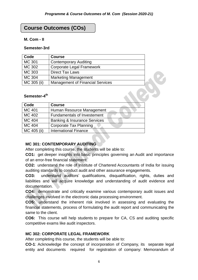# **Course Outcomes (COs)**

#### **M. Com - II**

#### **Semester-3rd**

| Code          | <b>Course</b>                           |  |
|---------------|-----------------------------------------|--|
| <b>MC 301</b> | <b>Contemporary Auditing</b>            |  |
| MC 302        | <b>Corporate Legal Framework</b>        |  |
| MC 303        | <b>Direct Tax Laws</b>                  |  |
| <b>MC 304</b> | <b>Marketing Management</b>             |  |
| MC 305 (ii)   | <b>Management of Financial Services</b> |  |
|               |                                         |  |
| Semester-4th  |                                         |  |
|               |                                         |  |

# **Semester-4 th**

| Code        | <b>Course</b>                           |  |
|-------------|-----------------------------------------|--|
| MC 401      | Human Resource Management               |  |
| MC 402      | <b>Fundamentals of Investement</b>      |  |
| MC 404      | <b>Banking &amp; Insurance Services</b> |  |
| MC 404      | Corporate Tax Planning                  |  |
| MC 405 (ii) | <b>International Finance</b>            |  |

# **MC 301: CONTEMPORARY AUDITING**

After completing this course, the students will be able to:

**CO1:** get deeper insights into basic principles governing an Audit and importance of an error-free financial statement.

**CO2:** understand the role of Institute of Chartered Accountants of India for issuing auditing standards to conduct audit and other assurance engagements.

**CO3:** understand auditors' qualifications, disqualification, rights, duties and liabilities and will acquire knowledge and understanding of audit evidence and documentation.

**CO4:** demonstrate and critically examine various contemporary audit issues and challenges involved in the electronic data processing environment.

**CO5:** understand the inherent risk involved in assessing and evaluating the financial statements, process of formulating the audit report and communicating the same to the client.

**CO6:** This course will help students to prepare for CA, CS and auditing specific competitive exams like audit inspectors.

#### **MC 302: CORPORATE LEGAL FRAMEWORK**

After completing this course, the students will be able to:

**CO-1**: Acknowledge the concept of incorporation of Company, its separate legal entity and documents required for registration of company: Memorandum of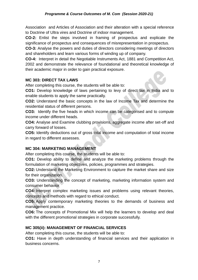Association and Articles of Association and their alteration with a special reference to Doctrine of Ultra vires and Doctrine of indoor management.

**CO-2:** Enlist the steps involved in framing of prospectus and explicate the significance of prospectus and consequences of misrepresentation in prospectus.

**CO-3:** Analyse the powers and duties of directors considering meetings of directors and shareholders and learn various forms of winding up of company.

**CO-4:** Interpret in detail the Negotiable Instruments Act, 1881 and Competition Act, 2002 and demonstrate the relevance of foundational and theoretical knowledge of their academic major in order to gain practical exposure.

#### **MC 303: DIRECT TAX LAWS**

After completing this course, the students will be able to:

**CO1:** Develop knowledge of laws pertaining to levy of direct tax in India and to enable students to apply the same practically.

**CO2:** Understand the basic concepts in the law of Income Tax and determine the residential status of different persons.

**CO3:** Identify the five heads in which income can be categorised and to compute income under different heads.

**CO4:** Analyse and Examine clubbing provisions, aggregate income after set-off and carry forward of losses.

**CO5:** Identify deductions out of gross total income and computation of total income in regard to different assesses.

# **MC 304: MARKETING MANAGEMENT**

After completing this course, the students will be able to:

**CO1:** Develop ability to define and analyze the marketing problems through the formulation of marketing objectives, policies, programmes and strategies.

**CO2:** Understand the Marketing Environment to capture the market share and size for their organization.

**CO3:** Understanding the concept of marketing, marketing information system and consumer behavior

**CO4:** Interpret complex marketing issues and problems using relevant theories, concepts and methods with regard to ethical conduct.

**CO5:** Apply contemporary marketing theories to the demands of business and management practice.

**CO6:** The concepts of Promotional Mix will help the learners to develop and deal with the different promotional strategies in corporate successfully.

# **MC 305(ii): MANAGEMENT OF FINANCIAL SERVICES**

After completing this course, the students will be able to:

**CO1:** Have in depth understanding of financial services and their application in business concerns.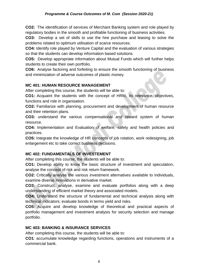**CO2:** The identification of services of Merchant Banking system and role played by regulatory bodies in the smooth and profitable functioning of business activities.

**CO3:** Develop a set of skills to use the hire purchase and leasing to solve the problems related to optimum utilisation of scarce resources.

**CO4:** Identify role played by Venture Capital and the evaluation of various strategies so that the students can develop information based solutions.

**CO5:** Develop appropriate information about Mutual Funds which will further helps students to create their own portfolio.

**CO6:** Analyse factoring and forfeiting to ensure the smooth functioning of business and minimization of adverse outcomes of plastic money.

#### **MC 401: HUMAN RESOURCE MANAGEMENT**

After completing this course, the students will be able to:

**CO1:** Acquaint the students with the concept of HRM, its relevance, objectives, functions and role in organisation.

**CO2:** Familiarize with planning, procurement and development of human resource and their retention plans.

**CO3:** understand the various compensational and reward system of human resource.

**CO4:** Implementation and Evaluation of welfare, safety and health policies and practices.

**CO5:** Integrate the knowledge of HR concepts of job rotation, work redesigning, job enlargement etc to take correct business decisions.

# **MC 402: FUNDAMENTALS OF INVESTEMENT**

After completing this course, the students will be able to:

**CO1:** Develop ability to know the basic structure of investment and speculation, analyse the concept of risk and risk return framework.

**CO2:** Critically analyse the various investment alternatives available to individuals, examine diverse innovations in derivative market.

**CO3:** Construct, analyse, examine and evaluate portfolios along with a deep understanding of efficient market theory and associated models.

**CO4:** Understand the structure of fundamental and technical analysis along with technical indicators; evaluate bonds in terms yield and risks.

**CO5:** Acquire and develop knowledge of theoretical and practical aspects of portfolio management and investment analysis for security selection and manage portfolio.

#### **MC 403: BANKING & INSURANCE SERVICES**

After completing this course, the students will be able to:

**CO1**: accumulate knowledge regarding functions, operations and instruments of a commercial bank.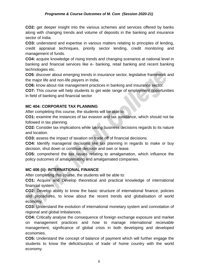#### *Programme & Course Outcomes of M. Com (Session 2020-21)*

**CO2:** get deeper insight into the various schemes and services offered by banks along with changing trends and volume of deposits in the banking and insurance sector of India.

**CO3:** understand and expertise in various matters relating to principles of lending, credit appraisal techniques, priority sector lending, credit monitoring and management of funds.

**CO4:** acquire knowledge of rising trends and changing scenarios at national level in banking and financial services like e- banking, retail banking and recent banking technologies etc.

**CO5**: discover about emerging trends in insurance sector, legislative framework and the major life and non-life players in India.

**CO6:** know about risk management practices in banking and insurance sector.

**CO7:** This course will help students to get wide range of employment opportunities in field of banking and financial sector

#### **MC 404: CORPORATE TAX PLANNING**

After completing this course, the students will be able to:

**CO1:** examine the instances of tax evasion and tax avoidance, which should not be followed in tax planning.

**CO2:** Consider tax implications while taking business decisions regards to its nature and location.

**CO3:** assess the impact of taxation on trade off of financial decisions.

**CO4:** Identify managerial decisions like tax planning in regards to make or buy decision, shut down or continue decision and own or lease.

**CO5:** comprehend the tax issues relating to amalgamation, which influence the policy outcomes of amalgamating and amalgamated companies.

#### **MC 406 (ii): INTERNATIONAL FINANCE**

After completing this course, the students will be able to:

**CO1:** Acquire and Develop theoretical and practical knowledge of international financial system.

**CO2:** Develop ability to know the basic structure of international finance, policies and procedures, to know about the recent trends and globalisation of world economy.

**CO3:** Understand the evolution of international monetary system and connotation of regional and global imbalances.

**CO4:** Critically analyse the consequence of foreign exchange exposure and market on management practices and how to manage international receivable management, significance of global crisis in both developing and developed economies.

**CO5:** Understand the concept of balance of payment which will further engage the students to know the deficit/surplus of trade of home country with the world economy.